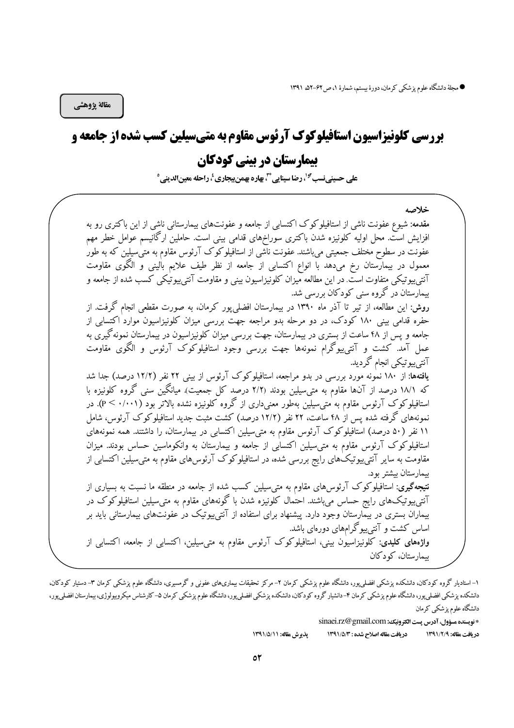مقالة يژوهشي

# بررسی کلونیزاسیون استافیلوکوک آرئوس مقاوم به متیسیلین کسب شده از جامعه و

# **بیمارستان در بینی کودکان**

على حسينينسب<sup>97</sup>، رضا سينايي "، بهاره بهمن بيجاري <sup>ب</sup>ر احله معينالديني °

خلاصه مقدمه: شیوع عفونت ناشی از استافیلوکوک اکتسابی از جامعه و عفونتهای بیمارستانی ناشی از این باکتری رو به افزایش است. محل اولیه کلونیزه شدن باکتری سوراخهای قدامی بینی است. حاملین ارگانیسم عوامل خطر مهم عفونت در سطوح مختلف جمعیتی میباشند. عفونت ناتشی از استافیلوکوک آرئوس مقاوم به متی سیلین که به طور معمول در بیمارستان رخ میدهد با انواع اکتسابی از جامعه از نظر طیف علایم بالینی و الگوی مقاومت آنتی پیوتیکی متفاوت است. در این مطالعه میزان کلونیزاسیون بینی و مقاومت آنتی پیوتیکی کسب شده از جامعه و بیمارستان در گروه سنی کودکان بررسی شد. روش: این مطالعه، از تیر تا آذر ماه ۱۳۹۰ در بیمارستان افضلی پور کرمان، به صورت مقطعی انجام گرفت. از حفره قدامی بینی ۱۸۰ کودک، در دو مرحله بدو مراجعه جهت بررسی میزان کلونیزاسیون موارد اکتسابی از جامعه و پس از ۴۸ ساعت از بستری در بیمارستان، جهت بررسی میزان کلونیزاسیون در بیمارستان نمونهگیری به عمل آمد. کشت و آنتیٖبیوگرام نمونهها جهت بررسی وجود استافیلوکوک آرئوس و الگوی مقاومت آنتے پیو تیکی انجام گر دید. **یافتهها**: از ۱۸۰ نمونه مورد بررسی در بدو مراجعه، استافیلوکوک آرئوس از بینی ۲۲ نفر (۱۲/۲ درصد) جدا شد که ۱۸/۱ درصد از آنها مقاوم به متی سیلین بودند (۲/۲ درصد کل جمعیت). میانگین سنی گروه کلونیزه با استافیلوکوک آرئوس مقاوم به متی سیلین بهطور معنی داری از گروه کلونیزه نشده بالاتر بود (۲۰۰۱- .p<). در نمونههای گرفته شده پس از ۴۸ ساعت، ۲۲ نفر (۱۲/۲ درصد) کشت مثبت جدید استافیلوکوک آرئوس، شامل ۱۱ نفر (۵۰ درصد) استافیلوکوک آرئوس مقاوم به متی سیلین اکتسابی در بیمارستان، را داشتند. همه نمونههای استافیلوکوک آرئوس مقاوم به متی سیلین اکتسابی از جامعه و بیمارستان به وانکوماسین حساس بودند. میزان مقاومت به سایر آنتی پیوتیکْهای رایج بررسی شده، در استافیلوکوک آرئوس های مقاوم به متی سیلین اکتسابی از بیمارستان بیشتر بود. **نتیجهگیری**: استافیلوکوک آرئوس۵ای مقاوم به متیسیلین کسب شده از جامعه در منطقه ما نسبت به بسیاری از آنتی $_2$ یوتیکهای رایج حساس میباشند. احتمال کلونیزه شدن با گونههای مقاوم به متی $_2$ سیلین استافیلوکوک در بیماران بستری در بیمارستان وجود دارد. پیشنهاد برای استفاده از آنتی پیوتیک در عفونتهای بیمارستانی باید بر اساس کشت و آنتی $_{\rm g}$ گرامهای دورهای باشد. واژههای کلیدی: کلونیزاسیون بینی، استافیلوکوک آرئوس مقاوم به متی سیلین، اکتسابی از جامعه، اکتسابی از ىيمارستان، كودكان

\* نويسنده مسؤول، آدرس پست الكترونيك: sinaei.rz@gmail.com

يذيرش مقاله: ١٣٩١/٥/١١ دريافت مقاله اصلاح شده : ١٣٩١/٥/٣ دريافت مقاله: ١٣٩١/٢/٩

۱– استادیار گروه کودکان، دانشکده پزشکی افضلی پور، دانشگاه علوم پزشکی کرمان ۲– مرکز تحقیقات بیماری۵فی و گرمسیری، دانشگاه علوم پزشکی کرمان ۳– دستیار کودکان، دانشكده پزشكي افضلي پور، دانشگاه علوم پزشكي كرمان ۴-دانشيار گروه كودكان، دانشكده پزشكي اوم و موس بزشكي كرمان ۵– كارشناس ميكروبيولوژي، بيمارستان افضلي پور، دانشگاه علوم یز شکی کرمان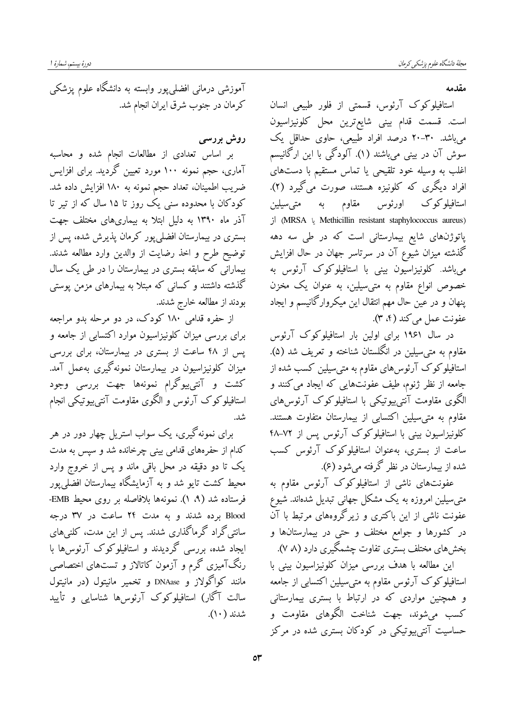مقدمه

استافیلوکوک آرئوس، قسمتی از فلور طبیعی انسان است. قسمت قدام بینی شایع ترین محل کلونیزاسیون می باشد. ۳۰-۲۰ درصد افراد طبیعی، حاوی حداقل یک سوش آن در بینی می باشند (۱). آلودگی با این ارگانیسم اغلب به وسیله خود تلقیحی یا تماس مستقیم با دستهای افراد دیگری که کلونیزه هستند، صورت میگیرد (۲). استافیلوکوک اورئوس مقاوم به متی سیلین (MRSA <br/>يا Methicillin resistant staphylococcus aureus) از پاتوژنهای شایع بیمارستانی است که در طی سه دهه گذشته میزان شیوع آن در سرتاسر جهان در حال افزایش می،باشد. کلونیزاسیون بینی با استافیلوکوک آرئوس به خصوص انواع مقاوم به متىسیلین، به عنوان یک مخزن پنهان و در عین حال مهم انتقال این میکروارگانیسم و ایجاد عفونت عمل مي كند (۴، ۳).

در سال ۱۹۶۱ برای اولین بار استافیلوکوک آرئوس مقاوم به متىسيلين در انگلستان شناخته و تعريف شد (۵). استافیلوکوک آرئوس های مقاوم به متی سیلین کسب شده از جامعه از نظر ژنوم، طیف عفونتهایی که ایجاد می کنند و الگوی مقاومت آنتی،پیوتیکی با استافیلوکوک آرئوس،های مقاوم به متی سیلین اکتسابی از بیمارستان متفاوت هستند. کلونیزاسیون بینی با استافیلوکوک آرئوس پس از ۷۲–۴۸ ساعت از بستری، بهعنوان استافیلوکوک آرئوس کسب شده از بیمارستان در نظر گرفته میشود (۶).

عفونتهای ناشی از استافیلوکوک آرئوس مقاوم به متی سیلین امروزه به یک مشکل جهانی تبدیل شدهاند. شیوع عفونت ناشی از این باکتری و زیرگروههای مرتبط با آن در کشورها و جوامع مختلف و حتی در بیمارستانها و بخشهای مختلف بستری تفاوت چشمگیری دارد (۸ ۷).

این مطالعه با هدف بررسی میزان کلونیزاسیون بینی با استافیلوکوک آرئوس مقاوم به متی سیلین اکتسابی از جامعه و همچنین مواردی که در ارتباط با بستری بیمارستانی کسب می شوند، جهت شناخت الگوهای مقاومت و حساسیت آنتے پیوتیکے در کودکان بستری شدہ در مرکز

آموزشی درمانی افضلی پور وابسته به دانشگاه علوم پزشکی كرمان در جنوب شرق ايران انجام شد.

روش بررسی

بر اساس تعدادی از مطالعات انجام شده و محاسبه آماری، حجم نمونه ۱۰۰ مورد تعیین گردید. برای افزایس ضریب اطمینان، تعداد حجم نمونه به ۱۸۰ افزایش داده شد. کودکان با محدوده سنی یک روز تا ۱۵ سال که از تیر تا آذر ماه ۱۳۹۰ به دلیل ابتلا به بیماریهای مختلف جهت بستری در بیمارستان افضلی یور کرمان پذیرش شده، پس از توضيح طرح و اخذ رضايت از والدين وارد مطالعه شدند. بیمارانی که سابقه بستری در بیمارستان را در طی یک سال گذشته داشتند و کسانی که مبتلا به بیمارهای مزمن پوستی بودند از مطالعه خارج شدند.

از حفره قدامی ۱۸۰ کودک، در دو مرحله بدو مراجعه برای بررسی میزان کلونیزاسیون موارد اکتسابی از جامعه و پس از ۴۸ ساعت از بستری در بیمارستان، برای بررسی میزان کلونیزاسیون در بیمارستان نمونهگیری بهعمل آمد. کشت و آنتی $_2$ یوگرام نمونهها جهت بررسی وجود استافیلوکوک آرئوس و الگوی مقاومت آنتی بیوتیکی انجام شد.

برای نمونهگیری، یک سواب استریل چهار دور در هر کدام از حفرههای قدامی بینی چرخانده شد و سپس به مدت یک تا دو دقیقه در محل باقی ماند و پس از خروج وارد محیط کشت تایو شد و به آزمایشگاه بیمارستان افضل<sub>ی</sub>پور فرستاده شد (۹، ۱). نمونهها بلافاصله بر روى محيط EMB-Blood برده شدند و به مدت ۲۴ ساعت در ۳۷ درجه سانتی گراد گرماگذاری شدند. پس از این مدت، کلنیهای ایجاد شده، بررسی گردیدند و استافیلوکوک آرئوس ها با رنگآمیزی گرم و آزمون کاتالاز و تستهای اختصاصی مانند کواگولاز و DNAase و تخمیر مانیتول (در مانیتول سالت آگار) استافیلوکوک آرئوسها شناسایی و تأیید شدند (۱۰).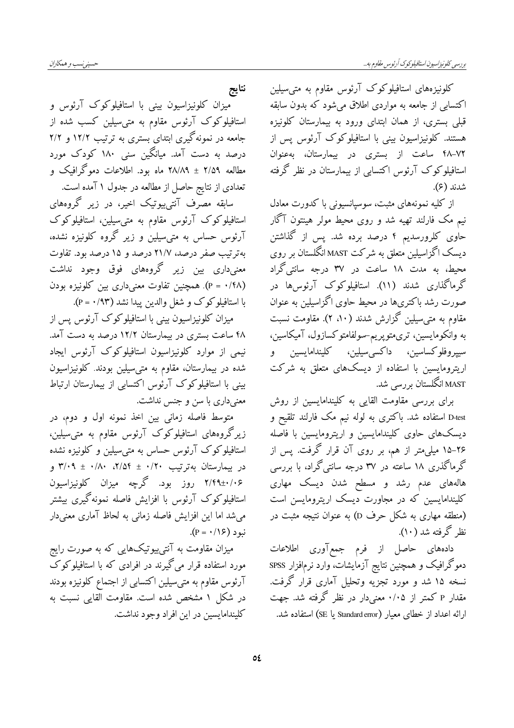کلونیزههای استافیلوکوک آرئوس مقاوم به متی سیلین اکتسابی از جامعه به مواردی اطلاق میشود که بدون سابقه قبلی بستری، از همان ابتدای ورود به بیمارستان کلونیزه هستند. کلونیزاسیون بینی با استافیلوکوک آرئوس پس از ۰۷۲–۴۸ ساعت از بستری در بیمارستان، بهعنوان استافیلوکوک آرئوس اکتسابی از بیمارستان در نظر گرفته شدند (۶).

از کلیه نمونههای مثبت، سوسیانسیونی با کدورت معادل نیم مک فارلند تهیه شد و روی محیط مولر هینتون آگار حاوی کلرورسدیم ۴ درصد برده شد. پس از گذاشتن دیسک اگزاسیلین متعلق به شرکت MAST انگلستان بر روی محیط، به مدت ۱۸ ساعت در ۳۷ درجه سانتی گراد گرماگذاری شدند (۱۱). استافیلوکوک آرئوس۵ها در صورت رشد باکتریها در محیط حاوی اگزاسیلین به عنوان مقاوم به متى سيلين گزارش شدند (١٠، ٢). مقاومت نسبت به وانکومایسین، تریمتویریم-سولفامتوکسازول، آمیکاسین، سیپروفلوکساسین، داکسیسیلین، کلیندامایسین و اریترومایسین با استفاده از دیسکهای متعلق به شرکت MAST انگلستان <sub>بر ر</sub>س<sub>ی</sub> شد.

برای بررسی مقاومت القایی به کلیندامایسین از روش D-test استفاده شد. باکتری به لوله نیم مک فارلند تلقیح و دیسک&ای حاوی کلیندامایسین و اریترومایسین با فاصله ۲۶–۱۵ میلی متر از هم، بر روی آن قرار گرفت. پس از گرماگذری ۱۸ ساعته در ۳۷ درجه سانتیگراد، با بررسی هالههای عدم رشد و مسطح شدن دیسک مهاری کلیندامایسین که در مجاورت دیسک اریترومایسن است (منطقه مهاری به شکل حرف D) به عنوان نتیجه مثبت در نظر گرفته شد (۱۰).

دادههای حاصل از فرم جمعآوری اطلاعات دموگرافیک و همچنین نتایج آزمایشات، وارد نرم|فزار SPSS نسخه ۱۵ شد و مورد تجزیه وتحلیل آماری قرار گرفت. مقدار P کمتر از ۰/۰۵ معنیدار در نظر گرفته شد. جهت ارائه اعداد از خطای معیار (Standard error یا SE) استفاده شد.

نتايج میزان کلونیزاسیون بینی با استافیلوکوک آرئوس و استافیلوکوک آرئوس مقاوم به متی سیلین کسب شده از جامعه در نمونهگیری ابتدای بستری به ترتیب ۱۲/۲ و ۲/۲ درصد به دست آمد. میانگین سنی ۱۸۰ کودک مورد مطالعه ۲/۵۹ ± ۲۸/۸۹ ماه بود. اطلاعات دموگرافیک و .<br>تعدادی از نتایج حاصل از مطالعه در جدول ۱ آمده است.

سابقه مصرف آنتی،پیوتیک اخیر، در زیر گروههای استافیلوکوک آرئوس مقاوم به متی سیلین، استافیلوکوک آرئوس حساس به متى سيلين و زير گروه كلونيزه نشده، به ترتیب صفر درصد، ۲۱/۷ درصد و ۱۵ درصد بود. تفاوت معنی داری بین زیر گروههای فوق وجود نداشت (۴۸). همچنین تفاوت معنی داری بین کلونیزه بودن با استافیلوکوک و شغل والدین پیدا نشد (۴۳/ ۰ = P).

میزان کلونیزاسیون بینی با استافیلوکوک آرئوس پس از ۴۸ ساعت بستری در بیمارستان ۱۲/۲ درصد به دست آمد. نیمی از موارد کلونیزاسیون استافیلوکوک آرئوس ایجاد شده در بیمارستان، مقاوم به متی سیلین بودند. کلونیزاسیون بینی با استافیلوکوک آرئوس اکتسابی از بیمارستان ارتباط معنیداری با سن و جنس نداشت.

متوسط فاصله زمانی بین اخذ نمونه اول و دوم، در زیرگروههای استافیلوکوک آرئوس مقاوم به متی سیلین، استافیلوکوک آرئوس حساس به متی سیلین و کلونیزه نشده در بیمارستان بهترتیب ۰/۲۰ ± ۲/۰۴، ۳/۰۹ ± ۳/۰۹ ۲/۴۹±۰/۰۶ روز بود. گرچه میزان کلونیزاسیون استافیلوکوک آرئوس با افزایش فاصله نمونهگیری بیشتر می شد اما این افزایش فاصله زمانی به لحاظ آماری معنی دار  $(P = \cdot / \sqrt{5})$ نبو د

میزان مقاومت به آنتی $_{\rm g}$ یتکهایی که به صورت رایج مورد استفاده قرار میگیرند در افرادی که با استافیلوکوک ۔<br>آرئوس مقاوم به مت<sub>ی</sub>سیلین اکتسابی از اجتماع کلونیزه بودند در شکل ۱ مشخص شده است. مقاومت القایی نسبت به كليندامايسين در اين افراد وجود نداشت.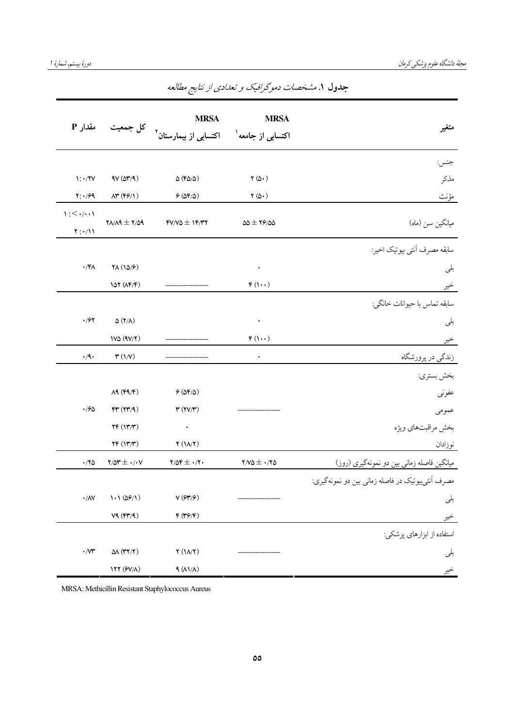| مقدار P                                                      |                                                           | <b>MRSA</b><br>اکتسابی از جامعه <sup>۱</sup> اکتسابی از بیمارستان <sup>۲</sup> کل جمعیت | <b>MRSA</b>                         | متغير                                             |
|--------------------------------------------------------------|-----------------------------------------------------------|-----------------------------------------------------------------------------------------|-------------------------------------|---------------------------------------------------|
|                                                              |                                                           |                                                                                         |                                     | جنس:                                              |
| $\mathcal{N}: \mathcal{N} \times \mathcal{N}$                | $AV(\Delta Y/A)$                                          | $\Delta$ (F $\Delta/\Delta$ )                                                           | $\Upsilon(\Delta \cdot)$            | مذكر                                              |
| $Y: \cdot$ /۶۹                                               | $\Lambda^{\mu}(\mathfrak{f}\mathfrak{F}/\mathfrak{f})$    | 9(08/0)                                                                                 | $\mathbf{Y}(\mathbf{\hat{Q}}\cdot)$ | مؤنث                                              |
| $1:$ $\leq$ $\cdot$ $/$ $\cdot$ $\cdot$ $\wedge$<br>$Y:*/11$ | $Y$ $\wedge$ $\wedge$ $\wedge$ $\wedge$ $\wedge$ $\wedge$ | $fV/V\Delta \pm 1f/VY$                                                                  | $\Delta\Delta \pm 19/20$            | میانگین سن (ماه)                                  |
|                                                              |                                                           |                                                                                         |                                     | سابقه مصرف آنتي بيوتيك اخير:                      |
| $\cdot$ /۴۸                                                  | $\mathsf{YA}\left(\frac{\mathsf{NA}}{\mathsf{A}}\right)$  |                                                                                         | ٠                                   | بلى                                               |
|                                                              | 10Y(NF/F)                                                 |                                                                                         | $F(1 \cdot \cdot)$                  | خير                                               |
|                                                              |                                                           |                                                                                         |                                     | سابقه تماس با حيوانات خانگي:                      |
| $\cdot$ /67                                                  | $\Delta$ (۲/۸)                                            |                                                                                         | ٠                                   | بلى                                               |
|                                                              | $1V\Delta (9V/Y)$                                         |                                                                                         | $F(1\cdot\cdot)$                    | خير                                               |
| $\cdot/\mathsf{q}\,\mathbf{.}$                               | $\mathfrak{r}\left(\backslash \mathcal{N}\right)$         |                                                                                         | ٠                                   | زندگی در پرورشگاه                                 |
|                                                              |                                                           |                                                                                         |                                     | بخش بستري:                                        |
|                                                              | $\Lambda$ ٩ (۴٩/۴)                                        | 9(08/0)                                                                                 |                                     | عفوني                                             |
| $\cdot$ 190                                                  | FT(TT/9)                                                  | $\tau$ ( $\tau$ $\gamma$ $\tau$ )                                                       |                                     | عمومى                                             |
|                                                              | YF(Y X)                                                   | $\bullet$                                                                               |                                     | بخش مراقبتهاي ويژه                                |
|                                                              | YF(Y X)                                                   | $\Upsilon(N/\Upsilon)$                                                                  |                                     | نوزادان                                           |
| $\cdot$ /۲۵                                                  | $Y/\Delta Y \pm \cdot / \cdot V$                          | $Y/\Delta f \pm \cdot/Y$                                                                | $Y/V\Delta \pm \cdot /Y\Delta$      | میانگین فاصله زمانی بین دو نمونهگیری (روز)        |
|                                                              |                                                           |                                                                                         |                                     | مصرف آنتي بيوتيک در فاصله زماني بين دو نمونهگيري: |
| $\boldsymbol{\cdot} / \Lambda \mathrm{V}$                    | 1.1 (09/1)                                                | $\mathsf{V}\left(\mathcal{G}\mathsf{Y}/\mathcal{G}\right)$                              |                                     | بلى                                               |
|                                                              | V4(FY/A)                                                  | $\mathfrak{F}\left(\mathfrak{f}\mathfrak{F}/\mathfrak{f}\right)$                        |                                     | خير                                               |
|                                                              |                                                           |                                                                                         |                                     | استفاده از ابزارهای پزشکی:                        |
| $\cdot$ /<br>$\!\!$                                          | $\Delta\Lambda$ (۳۲/۲)                                    | Y(N/Y)                                                                                  |                                     | بلى                                               |
|                                                              | 177 (9V/A)                                                | 9 (AY/A)                                                                                |                                     | خير                                               |

جدول ۱. *مشخصات دموگرافیک و تعدادی از نتایج مطالعه* 

MRSA: Methicillin Resistant Staphylococcus Aureus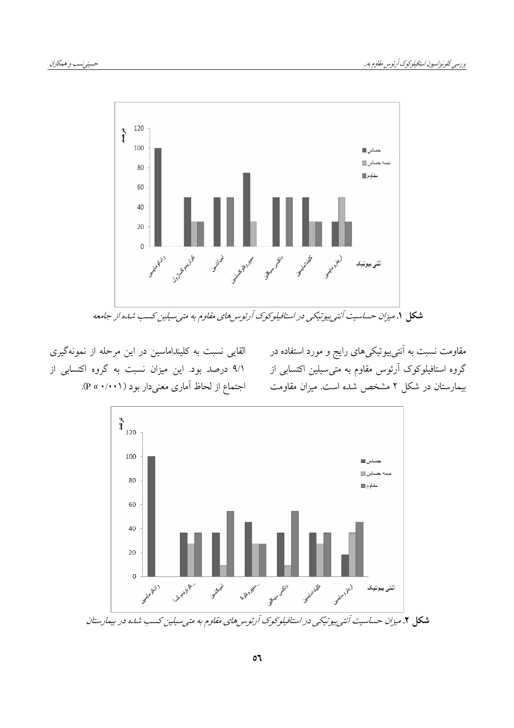

القایی نسبت به کلینداماسین در این مرحله از نمونهگیری ۹/۱ درصد بود. این میزان نسبت به گروه اکتسابی از اجتماع از لحاظ آماری معنیدار بود ( ( ۰/۰۰۱).

مقاومت نسبت به آنت<u>یبی</u>وتیکیهای رایج و مورد استفاده در گروه استافیلوکوک آرئوس مقاوم به متیٖسیلین اکتسابی از بیمارستان در شکل ۲ مشخص شده است. میزان مقاومت

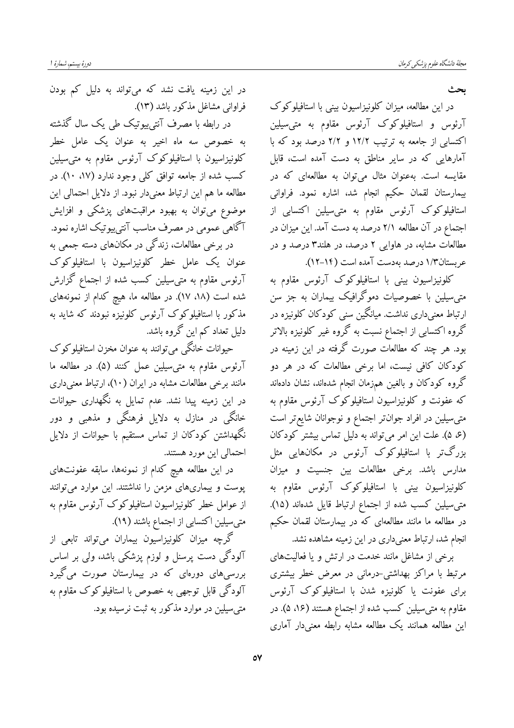ىحث

در این مطالعه، میزان کلونیزاسیون بینی با استافیلوکوک آرئوس و استافیلوکوک آرئوس مقاوم به متی سیلین اکتسابی از جامعه به ترتیب ۱۲/۲ و ۲/۲ درصد بود که با آمارهایی که در سایر مناطق به دست آمده است، قابل مقایسه است. بهعنوان مثال میتوان به مطالعهای که در بیمارستان لقمان حکیم انجام شد، اشاره نمود. فراوانی استافیلوکوک آرئوس مقاوم به متی سیلین اکتسابی از اجتماع در آن مطالعه ۲/۱ درصد به دست آمد. این میزان در مطالعات مشابه، در هاوایی ۲ درصد، در هلند۳ درصد و در عربستان۱/۳ درصد بهدست آمده است (۱۴-۱۲).

کلونیزاسیون بینی با استافیلوکوک آرئوس مقاوم به متی سیلین با خصوصیات دموگرافیک بیماران به جز سن ارتباط معنیداری نداشت. میانگین سنی کودکان کلونیزه در گروه اکتسابی از اجتماع نسبت به گروه غیر کلونیزه بالاتر بود. هر چند که مطالعات صورت گرفته در این زمینه در کودکان کافی نیست، اما برخی مطالعات که در هر دو گروه کودکان و بالغین همزمان انجام شدهاند، نشان دادهاند که عفونت و کلونیزاسیون استافیلوکوک آرئوس مقاوم به متی سیلین در افراد جوان تر اجتماع و نوجوانان شایع تر است (ع، ۵). علت این امر می تواند به دلیل تماس بیشتر کودکان بزرگتر با استافیلوکوک آرئوس در مکانهایی مثل مدارس باشد. برخی مطالعات بین جنسیت و میزان کلونیزاسیون بینی با استافیلوکوک آرئوس مقاوم به متىسيلين كسب شده از اجتماع ارتباط قايل شدهاند (١۵). در مطالعه ما مانند مطالعهای که در بیمارستان لقمان حکیم انجام شد، ارتباط معنیداری در این زمینه مشاهده نشد.

برخی از مشاغل مانند خدمت در ارتش و یا فعالیتهای مرتبط با مراکز بهداشتی-درمانی در معرض خطر بیشتری برای عفونت یا کلونیزه شدن با استافیلوکوک آرئوس مقاوم به متىسيلين كسب شده از اجتماع هستند (۱۶، ۵). در این مطالعه همانند یک مطالعه مشابه رابطه معنیدار آماری

در این زمینه یافت نشد که می تواند به دلیل کم بودن فراواني مشاغل مذكور باشد (١٣).

در رابطه با مصرف آنتیبیوتیک طی یک سال گذشته به خصوص سه ماه اخیر به عنوان یک عامل خطر کلونیزاسیون با استافیلوکوک آرئوس مقاوم به متی سیلین کسب شده از جامعه توافق کلی وجود ندارد (۸۷ ۱۰). در مطالعه ما هم این ارتباط معنی دار نبود. از دلایل احتمالی این موضوع میتوان به بهبود مراقبتهای پزشکی و افزایش آگاهی عمومی در مصرف مناسب آنتی پیوتیک اشاره نمود. در برخی مطالعات، زندگی در مکانهای دسته جمعی به

عنوان یک عامل خطر کلونیزاسیون با استافیلوکوک آرئوس مقاوم به متىسیلین كسب شده از اجتماع گزارش شده است (۱۸، ۱۷). در مطالعه ما، هیچ کدام از نمونههای مذکور با استافیلوکوک آرئوس کلونیزه نبودند که شاید به دلیل تعداد کم این گروه باشد.

حیوانات خانگی میتوانند به عنوان مخزن استافیلوکوک آرئوس مقاوم به متىسيلين عمل كنند (۵). در مطالعه ما مانند برخی مطالعات مشابه در ایران (۱۰)، ارتباط معنی داری در این زمینه پیدا نشد. عدم تمایل به نگهداری حیوانات خانگی در منازل به دلایل فرهنگی و مذهبی و دور نگهداشتن کودکان از تماس مستقیم با حیوانات از دلایل احتمالي اين مورد هستند.

در این مطالعه هیچ کدام از نمونهها، سابقه عفونتهای پوست و بیماریهای مزمن را نداشتند. این موارد می<mark>توانند</mark> از عوامل خطر کلونیزاسیون استافیلوکوک آرئوس مقاوم به متىسيلين اكتسابي از اجتماع باشند (١٩).

گرچه میزان کلونیزاسیون بیماران می;تواند تابعی از آلودگی دست پرسنل و لوزم پزشکی باشد، ولی بر اساس بررسیهای دورهای که در بیمارستان صورت میگیرد آلودگی قابل توجهی به خصوص با استافیلوکوک مقاوم به متی سیلین در موارد مذکور به ثبت نرسیده بود.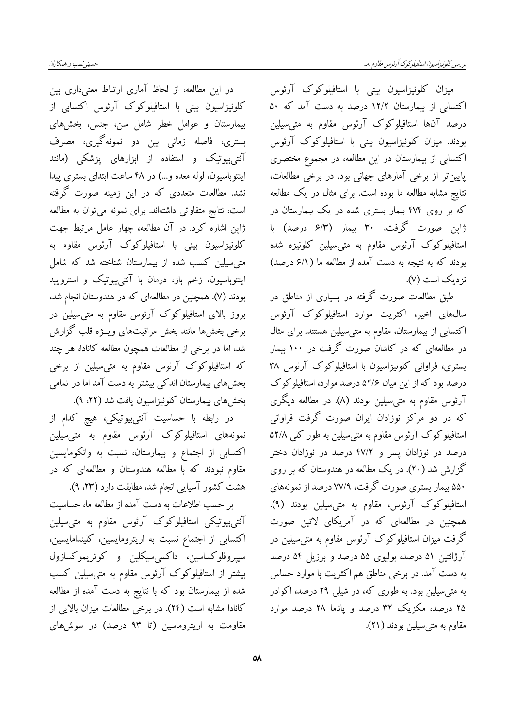میزان کلونیزاسیون بینی با استافیلوکوک آرئوس اکتسابی از بیمارستان ۱۲/۲ درصد به دست آمد که ۵۰ درصد آنها استافیلوکوک آرئوس مقاوم به متی سیلین بودند. میزان کلونیزاسیون بینی با استافیلوکوک آرئوس اکتسابی از بیمارستان در این مطالعه، در مجموع مختصری پایین تر از برخی آمارهای جهانی بود. در برخی مطالعات، نتایج مشابه مطالعه ما بوده است. برای مثال در یک مطالعه که بر روی ۴۷۴ بیمار بستری شده در یک بیمارستان در ژاپن صورت گرفت، ۳۰ بیمار (۶/۳ درصد) با استافیلوکوک آرئوس مقاوم به متی سیلین کلونیزه شده بودند که به نتیجه به دست آمده از مطالعه ما (۶/۱ درصد) نز دیک است (۷).

طبق مطالعات صورت گرفته در بسیاری از مناطق در سال های اخیر، اکثریت موارد استافیلوکوک آرئوس اکتسابی از بیمارستان، مقاوم به متی سیلین هستند. برای مثال در مطالعهای که در کاشان صورت گرفت در ۱۰۰ بیمار بستری، فراوانی کلونیزاسیون با استافیلوکوک آرئوس ۳۸ درصد بود که از این میان ۵۲/۶ درصد موارد، استافیلو کوک آرئوس مقاوم به متىسیلین بودند (۸). در مطالعه دیگری که در دو مرکز نوزادان ایران صورت گرفت فراوانی استافیلوکوک آرئوس مقاوم به متیسیلین به طور کلی ۵۲/۸ درصد در نوزادان پسر و ۴۷/۲ درصد در نوزادان دختر گزارش شد (۲۰). در یک مطالعه در هندوستان که بر روی ۵۵۰ بیمار بستری صورت گرفت، ۷۷/۹ درصد از نمونههای استافیلوکوک آرئوس، مقاوم به متی سیلین بودند (۹). همچنین در مطالعهای که در آمریکای لاتین صورت گرفت میزان استافیلوکوک آرئوس مقاوم به متی سیلین در آرژانتین ۵۱ درصد، بولیوی ۵۵ درصد و برزیل ۵۴ درصد به دست آمد. در برخی مناطق هم اکثریت با موارد حساس به متی سیلین بود. به طوری که، در شیلی ۲۹ درصد، اکوادر ۲۵ درصد، مکزیک ۳۲ درصد و پاناما ۲۸ درصد موارد مقاوم به متىسيلين بودند (٢١).

حسيني نسب و همكاران

در این مطالعه، از لحاظ آماری ارتباط معنی داری بین کلونیزاسیون بینی با استافیلوکوک آرئوس اکتسابی از بیمارستان و عوامل خطر شامل سن، جنس، بخشهای بستری، فاصله زمانی بین دو نمونهگیری، مصرف آنتی $\mathbb{R}$ تنی و استفاده از ابزارهای پزشکی (مانند اینتوباسیون، لوله معده و...) در ۴۸ ساعت ابتدای بستری پیدا نشد. مطالعات متعددی که در این زمینه صورت گرفته است، نتایج متفاوتی داشتهاند. برای نمونه میتوان به مطالعه ژاپن اشاره کرد. در آن مطالعه، چهار عامل مرتبط جهت کلونیزاسیون بینی با استافیلوکوک آرئوس مقاوم به متی سیلین کسب شده از بیمارستان شناخته شد که شامل اینتوباسیون، زخم باز، درمان با آنتیبیوتیک و استرویید بودند (۷). همچنین در مطالعهای که در هندوستان انجام شد، بروز بالای استافیلوکوک آرئوس مقاوم به متی سیلین در برخي بخشها مانند بخش مراقبتهاي ويـــژه قلب گزارش شد، اما در برخی از مطالعات همچون مطالعه کانادا، هر چند که استافیلوکوک آرئوس مقاوم به متی سیلین از برخی بخشهای بیمارستان اندکی بیشتر به دست آمد اما در تمامی بخش های بیمارستان کلونیزاسیون یافت شد (۲۲، ۹).

در رابطه با حساسیت آنتیبیوتیکی، هیچ کدام از نمونههای استافیلوکوک آرئوس مقاوم به متی سیلین اکتسابی از اجتماع و بیمارستان، نسبت به وانکومایسین مقاوم نبودند که با مطالعه هندوستان و مطالعهای که در هشت كشور آسيايي انجام شد، مطابقت دارد (٢٣، ٩).

بر حسب اطلاعات به دست آمده از مطالعه ما، حساسیت آنتی بیوتیکی استافیلوکوک آرئوس مقاوم به متی سیلین اکتسابی از اجتماع نسبت به اریترومایسین، کلیندامایسین، سیپروفلوکساسین، داکسی سیکلین و کوتریموکسازول بیشتر از استافیلوکوک آرئوس مقاوم به متی سیلین کسب شده از بیمارستان بود که با نتایج به دست آمده از مطالعه كانادا مشابه است (٢۴). در برخي مطالعات ميزان بالايي از مقاومت به اریتروماسین (تا ۹۳ درصد) در سوشهای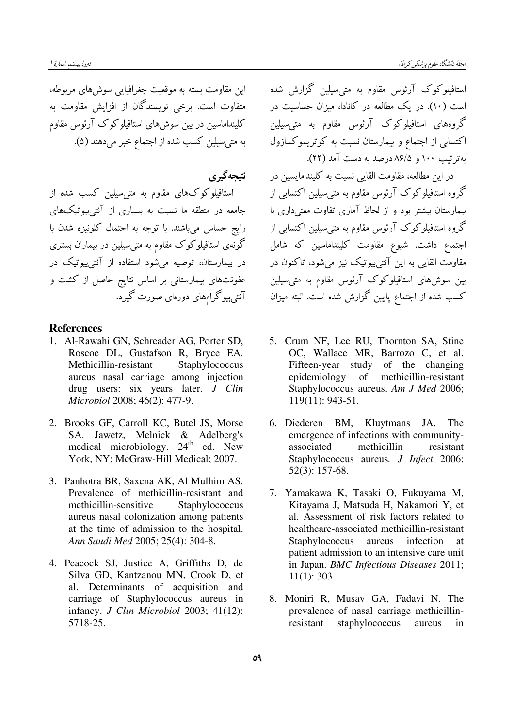این مقاومت بسته به موقعیت جغرافیایی سوشهای مربوطه، متفاوت است. برخی نویسندگان از افزایش مقاومت به کلینداماسین در بین سوشهای استافیلوکوک آرئوس مقاوم به متىسيلين كسب شده از اجتماع خبر مىدهند (۵).

نتيجه گيري استافیلوکوکهای مقاوم به متیسیلین کسب شده از جامعه در منطقه ما نسبت به بسیاری از آنتی $بیوتیکهای$ رایج حساس میباشند. با توجه به احتمال کلونیزه شدن با گونهی استافیلوکوک مقاوم به متیسیلین در بیماران بستری در بیمارستان، توصیه میشود استفاده از آنتی $بیوتیک در$ عفونتهای بیمارستانی بر اساس نتایج حاصل از کشت و آنتی بیو گرامهای دورهای صورت گیرد.

## References

- 1. Al-Rawahi GN, Schreader AG, Porter SD, Roscoe DL, Gustafson R, Bryce EA. Methicillin-resistant Staphylococcus aureus nasal carriage among injection drug users: six years later. J Clin Microbiol 2008; 46(2): 477-9.
- 2. Brooks GF, Carroll KC, Butel JS, Morse SA. Jawetz, Melnick & Adelberg's medical microbiology. 24<sup>th</sup> ed. New York, NY: McGraw-Hill Medical; 2007.
- 3. Panhotra BR, Saxena AK, Al Mulhim AS. Prevalence of methicillin-resistant and methicillin-sensitive Staphylococcus aureus nasal colonization among patients at the time of admission to the hospital. Ann Saudi Med 2005; 25(4): 304-8.
- 4. Peacock SJ, Justice A, Griffiths D, de Silva GD, Kantzanou MN, Crook D, et al. Determinants of acquisition and carriage of Staphylococcus aureus in infancy. J Clin Microbiol 2003; 41(12): 5718-25.

استافیلوکوک آرئوس مقاوم به متیسیلین گزارش شده است (۱۰). در یک مطالعه در کانادا، میزان حساسیت در گروههای استافیلوکوک آرئوس مقاوم به متی سیلین اکتسابی از اجتماع و بیمارستان نسبت به کوتریموکسازول  $T(T)$  نه تو تیپ ۱۰۰ و ۸۶/۵ درصد به دست آمد (۲۲).

در این مطالعه، مقاومت القایی نسبت به کلیندامایسین در گروه استافیلوکوک آرئوس مقاوم به متی سیلین اکتسابی از بیمارستان بیشتر بود و از لحاظ آماری تفاوت معنیداری با گروه استافیلوکوک آرئوس مقاوم به متی سیلین اکتسابی از اجتماع داشت. شیوع مقاومت کلینداماسین که شامل مقاومت القایی به این آنتی $\mathbf{r}_2$ یوتیک نیز میشود، تاکنون در بین سوشهای استافیلوکوک آرئوس مقاوم به متیسیلین کسب شده از اجتماع پایین گزارش شده است. البته میزان

- 5. Crum NF, Lee RU, Thornton SA, Stine OC, Wallace MR, Barrozo C, et al. Fifteen-year study of the changing epidemiology of methicillin-resistant Staphylococcus aureus. Am J Med 2006; 119(11): 943-51.
- 6. Diederen BM, Kluytmans JA. The emergence of infections with communityassociated methicillin resistant Staphylococcus aureus. *J Infect* 2006; 52(3): 157-68.
- 7. Yamakawa K, Tasaki O, Fukuyama M, Kitayama J, Matsuda H, Nakamori Y, et al. Assessment of risk factors related to healthcare-associated methicillin-resistant Staphylococcus aureus infection patient admission to an intensive care unit in Japan. BMC Infectious Diseases 2011; 11(1): 303.
- 8. Moniri R, Musav GA, Fadavi N. The prevalence of nasal carriage methicillinresistant staphylococcus aureus in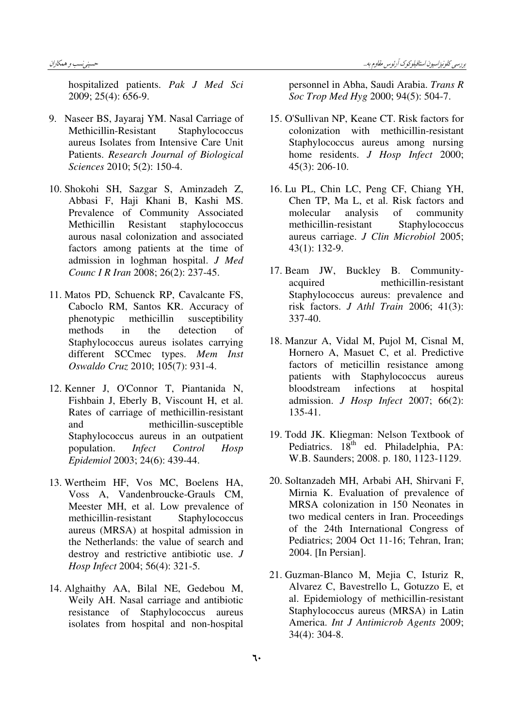hospitalized patients. Pak J Med Sci 2009; 25(4): 656-9.

- 9. Naseer BS, Jayaraj YM. Nasal Carriage of Methicillin-Resistant Staphylococcus aureus Isolates from Intensive Care Unit Patients. Research Journal of Biological Sciences 2010; 5(2): 150-4.
- 10. Shokohi SH, Sazgar S, Aminzadeh Z, Abbasi F, Haji Khani B, Kashi MS. Prevalence of Community Associated Methicillin Resistant staphylococcus aurous nasal colonization and associated factors among patients at the time of admission in loghman hospital. J Med Counc I R Iran 2008; 26(2): 237-45.
- 11. Matos PD, Schuenck RP, Cavalcante FS, Caboclo RM, Santos KR. Accuracy of phenotypic methicillin susceptibility methods in the detection of Staphylococcus aureus isolates carrying different SCCmec types. Mem Inst Oswaldo Cruz 2010; 105(7): 931-4.
- 12. Kenner J, O'Connor T, Piantanida N, Fishbain J, Eberly B, Viscount H, et al. Rates of carriage of methicillin-resistant and methicillin-susceptible Staphylococcus aureus in an outpatient population. Infect Control Hosp Epidemiol 2003; 24(6): 439-44.
- 13. Wertheim HF, Vos MC, Boelens HA, Voss A, Vandenbroucke-Grauls CM, Meester MH, et al. Low prevalence of methicillin-resistant Staphylococcus aureus (MRSA) at hospital admission in the Netherlands: the value of search and destroy and restrictive antibiotic use. J Hosp Infect 2004; 56(4): 321-5.
- 14. Alghaithy AA, Bilal NE, Gedebou M, Weily AH. Nasal carriage and antibiotic resistance of Staphylococcus aureus isolates from hospital and non-hospital

personnel in Abha, Saudi Arabia. Trans R Soc Trop Med Hyg 2000; 94(5): 504-7.

- 15. O'Sullivan NP, Keane CT. Risk factors for colonization with methicillin-resistant Staphylococcus aureus among nursing home residents. J Hosp Infect 2000; 45(3): 206-10.
- 16. Lu PL, Chin LC, Peng CF, Chiang YH, Chen TP, Ma L, et al. Risk factors and molecular analysis of community methicillin-resistant Staphylococcus aureus carriage. J Clin Microbiol 2005; 43(1): 132-9.
- 17. Beam JW, Buckley B. Communityacquired methicillin-resistant Staphylococcus aureus: prevalence and risk factors. J Athl Train 2006; 41(3): 337-40.
- 18. Manzur A, Vidal M, Pujol M, Cisnal M, Hornero A, Masuet C, et al. Predictive factors of meticillin resistance among patients with Staphylococcus aureus bloodstream infections at hospital admission. J Hosp Infect 2007; 66(2): 135-41.
- 19. Todd JK. Kliegman: Nelson Textbook of Pediatrics. 18<sup>th</sup> ed. Philadelphia, PA: W.B. Saunders; 2008. p. 180, 1123-1129.
- 20. Soltanzadeh MH, Arbabi AH, Shirvani F, Mirnia K. Evaluation of prevalence of MRSA colonization in 150 Neonates in two medical centers in Iran. Proceedings of the 24th International Congress of Pediatrics; 2004 Oct 11-16; Tehran, Iran; 2004. [In Persian].
- 21. Guzman-Blanco M, Mejia C, Isturiz R, Alvarez C, Bavestrello L, Gotuzzo E, et al. Epidemiology of methicillin-resistant Staphylococcus aureus (MRSA) in Latin America. Int J Antimicrob Agents 2009; 34(4): 304-8.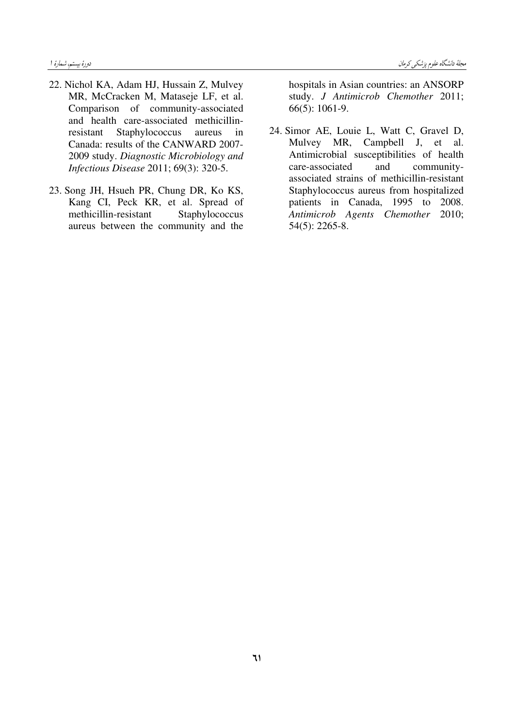- 22. Nichol KA, Adam HJ, Hussain Z, Mulvey MR, McCracken M, Mataseje LF, et al. Comparison of community-associated and health care-associated methicillinresistant Staphylococcus aureus in Canada: results of the CANWARD 2007- 2009 study. Diagnostic Microbiology and Infectious Disease 2011; 69(3): 320-5.
- 23. Song JH, Hsueh PR, Chung DR, Ko KS, Kang CI, Peck KR, et al. Spread of methicillin-resistant Staphylococcus aureus between the community and the

hospitals in Asian countries: an ANSORP study. J Antimicrob Chemother 2011; 66(5): 1061-9.

24. Simor AE, Louie L, Watt C, Gravel D, Mulvey MR, Campbell J, et al. Antimicrobial susceptibilities of health care-associated and communityassociated strains of methicillin-resistant Staphylococcus aureus from hospitalized patients in Canada, 1995 to 2008. Antimicrob Agents Chemother 2010; 54(5): 2265-8.